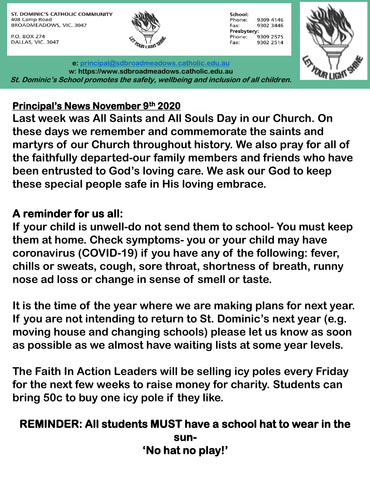ST. DOMINIC'S CATHOLIC COMMUNITY 408 Camp Road BROADMEADOWS, VIC. 3047

P.O. BOX 274 DALLAS, VIC. 3047



School: Phone: 9309 4146 9302 3446 Fax: Presbytery: 9309 2575 Phone: Fax: 9302 2514



**e: [principal@sdbroadmeadows.catholic.edu.au](mailto:principal@sdbroadmeadows.catholic.edu.au) w: https://www.sdbroadmeadows.catholic.edu.au St. Dominic's School promotes the safety, wellbeing and inclusion of all children.**

## **Principal's News November 9th 2020**

**Last week was All Saints and All Souls Day in our Church. On these days we remember and commemorate the saints and martyrs of our Church throughout history. We also pray for all of the faithfully departed-our family members and friends who have been entrusted to God's loving care. We ask our God to keep these special people safe in His loving embrace.**

## **A reminder for us all:**

**If your child is unwell-do not send them to school- You must keep them at home. Check symptoms- you or your child may have coronavirus (COVID-19) if you have any of the following: fever, chills or sweats, cough, sore throat, shortness of breath, runny nose ad loss or change in sense of smell or taste.**

**It is the time of the year where we are making plans for next year. If you are not intending to return to St. Dominic's next year (e.g. moving house and changing schools) please let us know as soon as possible as we almost have waiting lists at some year levels.**

**The Faith In Action Leaders will be selling icy poles every Friday for the next few weeks to raise money for charity. Students can bring 50c to buy one icy pole if they like.** 

## **REMINDER: All students MUST have a school hat to wear in the sun- 'No hat no play!'**